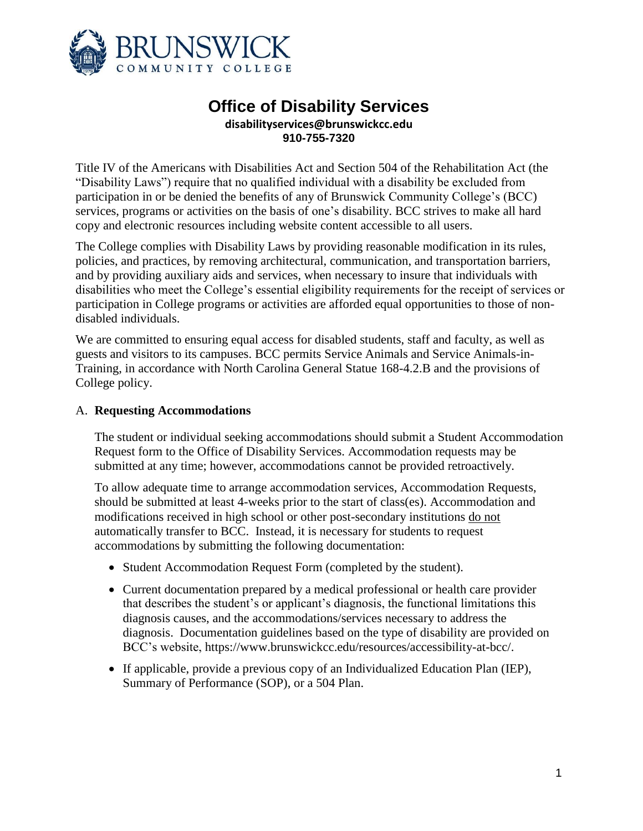

# **Office of Disability Services disabilityservices@brunswickcc.edu 910-755-7320**

Title IV of the Americans with Disabilities Act and Section 504 of the Rehabilitation Act (the "Disability Laws") require that no qualified individual with a disability be excluded from participation in or be denied the benefits of any of Brunswick Community College's (BCC) services, programs or activities on the basis of one's disability. BCC strives to make all hard copy and electronic resources including website content accessible to all users.

The College complies with Disability Laws by providing reasonable modification in its rules, policies, and practices, by removing architectural, communication, and transportation barriers, and by providing auxiliary aids and services, when necessary to insure that individuals with disabilities who meet the College's essential eligibility requirements for the receipt of services or participation in College programs or activities are afforded equal opportunities to those of nondisabled individuals.

We are committed to ensuring equal access for disabled students, staff and faculty, as well as guests and visitors to its campuses. BCC permits Service Animals and Service Animals-in-Training, in accordance with North Carolina General Statue 168-4.2.B and the provisions of College policy.

### A. **Requesting Accommodations**

The student or individual seeking accommodations should submit a Student Accommodation Request form to the Office of Disability Services. Accommodation requests may be submitted at any time; however, accommodations cannot be provided retroactively.

To allow adequate time to arrange accommodation services, Accommodation Requests, should be submitted at least 4-weeks prior to the start of class(es). Accommodation and modifications received in high school or other post-secondary institutions do not automatically transfer to BCC. Instead, it is necessary for students to request accommodations by submitting the following documentation:

- Student Accommodation Request Form (completed by the student).
- Current documentation prepared by a medical professional or health care provider that describes the student's or applicant's diagnosis, the functional limitations this diagnosis causes, and the accommodations/services necessary to address the diagnosis. Documentation guidelines based on the type of disability are provided on BCC's website, https://www.brunswickcc.edu/resources/accessibility-at-bcc/.
- If applicable, provide a previous copy of an Individualized Education Plan (IEP), Summary of Performance (SOP), or a 504 Plan.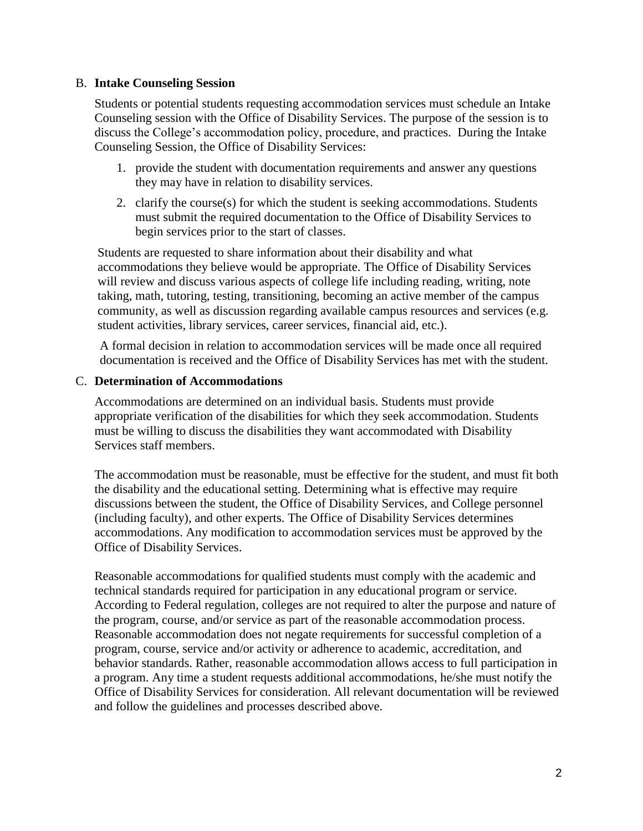### B. **Intake Counseling Session**

Students or potential students requesting accommodation services must schedule an Intake Counseling session with the Office of Disability Services. The purpose of the session is to discuss the College's accommodation policy, procedure, and practices. During the Intake Counseling Session, the Office of Disability Services:

- 1. provide the student with documentation requirements and answer any questions they may have in relation to disability services.
- 2. clarify the course(s) for which the student is seeking accommodations. Students must submit the required documentation to the Office of Disability Services to begin services prior to the start of classes.

Students are requested to share information about their disability and what accommodations they believe would be appropriate. The Office of Disability Services will review and discuss various aspects of college life including reading, writing, note taking, math, tutoring, testing, transitioning, becoming an active member of the campus community, as well as discussion regarding available campus resources and services (e.g. student activities, library services, career services, financial aid, etc.).

A formal decision in relation to accommodation services will be made once all required documentation is received and the Office of Disability Services has met with the student.

### C. **Determination of Accommodations**

Accommodations are determined on an individual basis. Students must provide appropriate verification of the disabilities for which they seek accommodation. Students must be willing to discuss the disabilities they want accommodated with Disability Services staff members.

The accommodation must be reasonable, must be effective for the student, and must fit both the disability and the educational setting. Determining what is effective may require discussions between the student, the Office of Disability Services, and College personnel (including faculty), and other experts. The Office of Disability Services determines accommodations. Any modification to accommodation services must be approved by the Office of Disability Services.

Reasonable accommodations for qualified students must comply with the academic and technical standards required for participation in any educational program or service. According to Federal regulation, colleges are not required to alter the purpose and nature of the program, course, and/or service as part of the reasonable accommodation process. Reasonable accommodation does not negate requirements for successful completion of a program, course, service and/or activity or adherence to academic, accreditation, and behavior standards. Rather, reasonable accommodation allows access to full participation in a program. Any time a student requests additional accommodations, he/she must notify the Office of Disability Services for consideration. All relevant documentation will be reviewed and follow the guidelines and processes described above.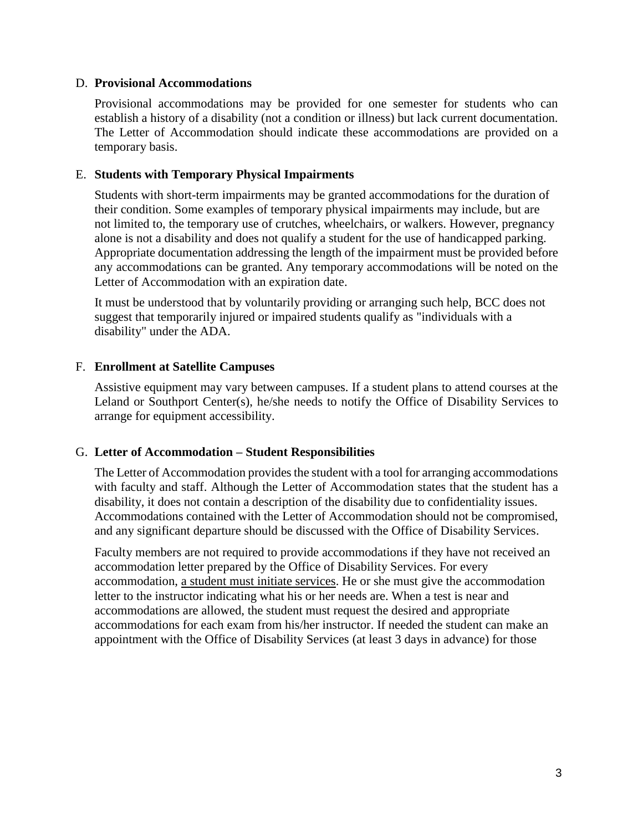### D. **Provisional Accommodations**

Provisional accommodations may be provided for one semester for students who can establish a history of a disability (not a condition or illness) but lack current documentation. The Letter of Accommodation should indicate these accommodations are provided on a temporary basis.

## E. **Students with Temporary Physical Impairments**

Students with short-term impairments may be granted accommodations for the duration of their condition. Some examples of temporary physical impairments may include, but are not limited to, the temporary use of crutches, wheelchairs, or walkers. However, pregnancy alone is not a disability and does not qualify a student for the use of handicapped parking. Appropriate documentation addressing the length of the impairment must be provided before any accommodations can be granted. Any temporary accommodations will be noted on the Letter of Accommodation with an expiration date.

It must be understood that by voluntarily providing or arranging such help, BCC does not suggest that temporarily injured or impaired students qualify as "individuals with a disability" under the ADA.

### F. **Enrollment at Satellite Campuses**

Assistive equipment may vary between campuses. If a student plans to attend courses at the Leland or Southport Center(s), he/she needs to notify the Office of Disability Services to arrange for equipment accessibility.

### G. **Letter of Accommodation – Student Responsibilities**

The Letter of Accommodation provides the student with a tool for arranging accommodations with faculty and staff. Although the Letter of Accommodation states that the student has a disability, it does not contain a description of the disability due to confidentiality issues. Accommodations contained with the Letter of Accommodation should not be compromised, and any significant departure should be discussed with the Office of Disability Services.

Faculty members are not required to provide accommodations if they have not received an accommodation letter prepared by the Office of Disability Services. For every accommodation, a student must initiate services. He or she must give the accommodation letter to the instructor indicating what his or her needs are. When a test is near and accommodations are allowed, the student must request the desired and appropriate accommodations for each exam from his/her instructor. If needed the student can make an appointment with the Office of Disability Services (at least 3 days in advance) for those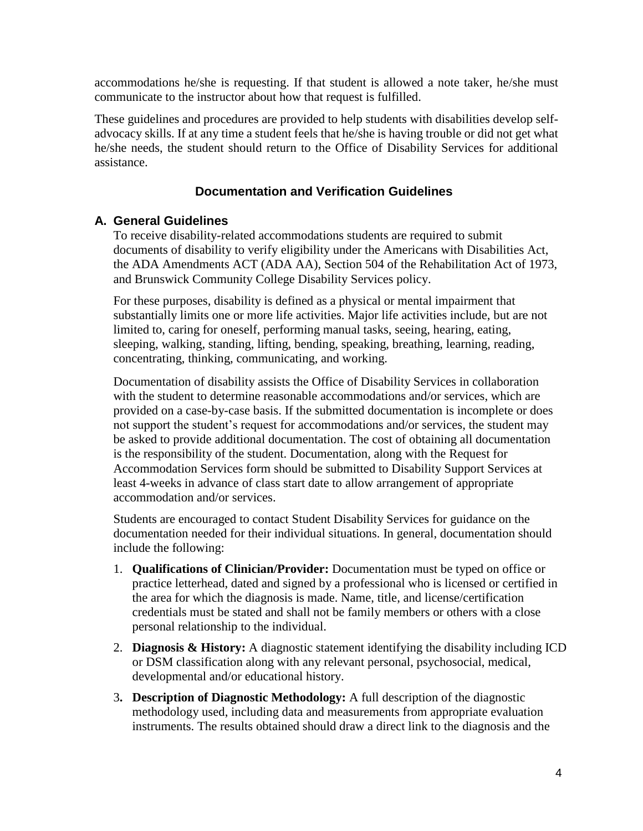accommodations he/she is requesting. If that student is allowed a note taker, he/she must communicate to the instructor about how that request is fulfilled.

These guidelines and procedures are provided to help students with disabilities develop selfadvocacy skills. If at any time a student feels that he/she is having trouble or did not get what he/she needs, the student should return to the Office of Disability Services for additional assistance.

# **Documentation and Verification Guidelines**

# **A. General Guidelines**

To receive disability-related accommodations students are required to submit documents of disability to verify eligibility under the Americans with Disabilities Act, the ADA Amendments ACT (ADA AA), Section 504 of the Rehabilitation Act of 1973, and Brunswick Community College Disability Services policy.

For these purposes, disability is defined as a physical or mental impairment that substantially limits one or more life activities. Major life activities include, but are not limited to, caring for oneself, performing manual tasks, seeing, hearing, eating, sleeping, walking, standing, lifting, bending, speaking, breathing, learning, reading, concentrating, thinking, communicating, and working.

Documentation of disability assists the Office of Disability Services in collaboration with the student to determine reasonable accommodations and/or services, which are provided on a case-by-case basis. If the submitted documentation is incomplete or does not support the student's request for accommodations and/or services, the student may be asked to provide additional documentation. The cost of obtaining all documentation is the responsibility of the student. Documentation, along with the Request for Accommodation Services form should be submitted to Disability Support Services at least 4-weeks in advance of class start date to allow arrangement of appropriate accommodation and/or services.

Students are encouraged to contact Student Disability Services for guidance on the documentation needed for their individual situations. In general, documentation should include the following:

- 1. **Qualifications of Clinician/Provider:** Documentation must be typed on office or practice letterhead, dated and signed by a professional who is licensed or certified in the area for which the diagnosis is made. Name, title, and license/certification credentials must be stated and shall not be family members or others with a close personal relationship to the individual.
- 2. **Diagnosis & History:** A diagnostic statement identifying the disability including ICD or DSM classification along with any relevant personal, psychosocial, medical, developmental and/or educational history.
- 3**. Description of Diagnostic Methodology:** A full description of the diagnostic methodology used, including data and measurements from appropriate evaluation instruments. The results obtained should draw a direct link to the diagnosis and the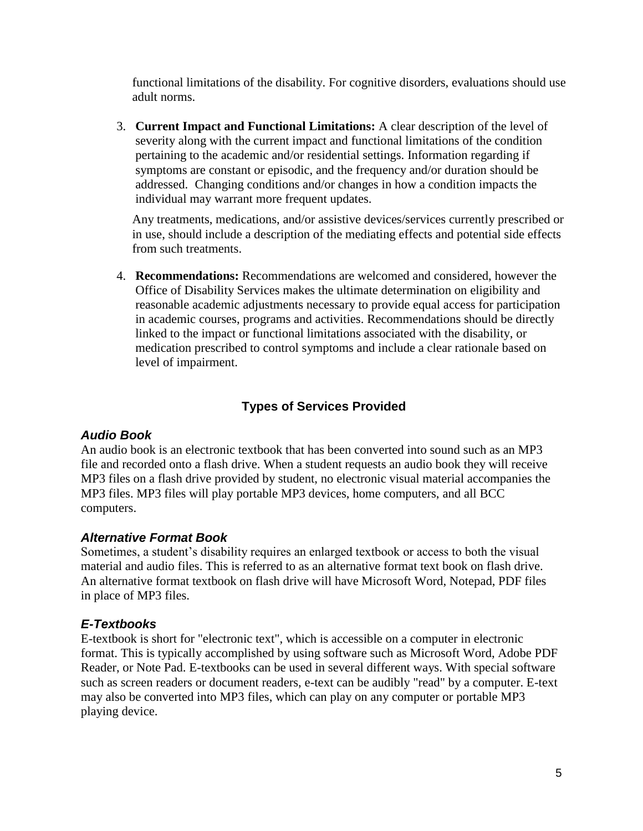functional limitations of the disability. For cognitive disorders, evaluations should use adult norms.

3. **Current Impact and Functional Limitations:** A clear description of the level of severity along with the current impact and functional limitations of the condition pertaining to the academic and/or residential settings. Information regarding if symptoms are constant or episodic, and the frequency and/or duration should be addressed. Changing conditions and/or changes in how a condition impacts the individual may warrant more frequent updates.

Any treatments, medications, and/or assistive devices/services currently prescribed or in use, should include a description of the mediating effects and potential side effects from such treatments.

4. **Recommendations:** Recommendations are welcomed and considered, however the Office of Disability Services makes the ultimate determination on eligibility and reasonable academic adjustments necessary to provide equal access for participation in academic courses, programs and activities. Recommendations should be directly linked to the impact or functional limitations associated with the disability, or medication prescribed to control symptoms and include a clear rationale based on level of impairment.

# **Types of Services Provided**

# *Audio Book*

An audio book is an electronic textbook that has been converted into sound such as an MP3 file and recorded onto a flash drive. When a student requests an audio book they will receive MP3 files on a flash drive provided by student, no electronic visual material accompanies the MP3 files. MP3 files will play portable MP3 devices, home computers, and all BCC computers.

# *Alternative Format Book*

Sometimes, a student's disability requires an enlarged textbook or access to both the visual material and audio files. This is referred to as an alternative format text book on flash drive. An alternative format textbook on flash drive will have Microsoft Word, Notepad, PDF files in place of MP3 files.

# *E-Textbooks*

E-textbook is short for "electronic text", which is accessible on a computer in electronic format. This is typically accomplished by using software such as Microsoft Word, Adobe PDF Reader, or Note Pad. E-textbooks can be used in several different ways. With special software such as screen readers or document readers, e-text can be audibly "read" by a computer. E-text may also be converted into MP3 files, which can play on any computer or portable MP3 playing device.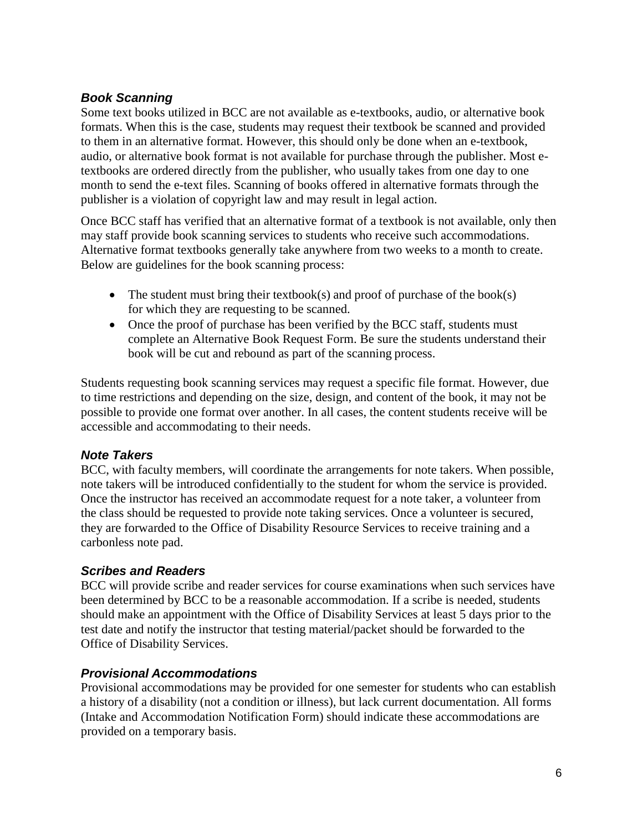# *Book Scanning*

Some text books utilized in BCC are not available as e-textbooks, audio, or alternative book formats. When this is the case, students may request their textbook be scanned and provided to them in an alternative format. However, this should only be done when an e-textbook, audio, or alternative book format is not available for purchase through the publisher. Most etextbooks are ordered directly from the publisher, who usually takes from one day to one month to send the e-text files. Scanning of books offered in alternative formats through the publisher is a violation of copyright law and may result in legal action.

Once BCC staff has verified that an alternative format of a textbook is not available, only then may staff provide book scanning services to students who receive such accommodations. Alternative format textbooks generally take anywhere from two weeks to a month to create. Below are guidelines for the book scanning process:

- The student must bring their textbook(s) and proof of purchase of the book(s) for which they are requesting to be scanned.
- Once the proof of purchase has been verified by the BCC staff, students must complete an Alternative Book Request Form. Be sure the students understand their book will be cut and rebound as part of the scanning process.

Students requesting book scanning services may request a specific file format. However, due to time restrictions and depending on the size, design, and content of the book, it may not be possible to provide one format over another. In all cases, the content students receive will be accessible and accommodating to their needs.

# *Note Takers*

BCC, with faculty members, will coordinate the arrangements for note takers. When possible, note takers will be introduced confidentially to the student for whom the service is provided. Once the instructor has received an accommodate request for a note taker, a volunteer from the class should be requested to provide note taking services. Once a volunteer is secured, they are forwarded to the Office of Disability Resource Services to receive training and a carbonless note pad.

# *Scribes and Readers*

BCC will provide scribe and reader services for course examinations when such services have been determined by BCC to be a reasonable accommodation. If a scribe is needed, students should make an appointment with the Office of Disability Services at least 5 days prior to the test date and notify the instructor that testing material/packet should be forwarded to the Office of Disability Services.

# *Provisional Accommodations*

Provisional accommodations may be provided for one semester for students who can establish a history of a disability (not a condition or illness), but lack current documentation. All forms (Intake and Accommodation Notification Form) should indicate these accommodations are provided on a temporary basis.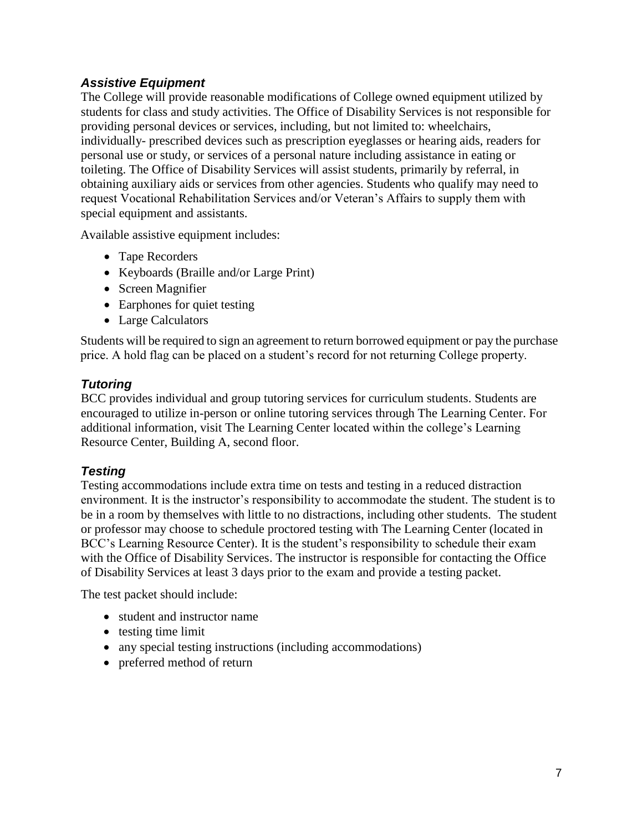# *Assistive Equipment*

The College will provide reasonable modifications of College owned equipment utilized by students for class and study activities. The Office of Disability Services is not responsible for providing personal devices or services, including, but not limited to: wheelchairs, individually- prescribed devices such as prescription eyeglasses or hearing aids, readers for personal use or study, or services of a personal nature including assistance in eating or toileting. The Office of Disability Services will assist students, primarily by referral, in obtaining auxiliary aids or services from other agencies. Students who qualify may need to request Vocational Rehabilitation Services and/or Veteran's Affairs to supply them with special equipment and assistants.

Available assistive equipment includes:

- Tape Recorders
- Keyboards (Braille and/or Large Print)
- Screen Magnifier
- Earphones for quiet testing
- Large Calculators

Students will be required to sign an agreement to return borrowed equipment or pay the purchase price. A hold flag can be placed on a student's record for not returning College property.

# *Tutoring*

BCC provides individual and group tutoring services for curriculum students. Students are encouraged to utilize in-person or online tutoring services through The Learning Center. For additional information, visit The Learning Center located within the college's Learning Resource Center, Building A, second floor.

# *Testing*

Testing accommodations include extra time on tests and testing in a reduced distraction environment. It is the instructor's responsibility to accommodate the student. The student is to be in a room by themselves with little to no distractions, including other students. The student or professor may choose to schedule proctored testing with The Learning Center (located in BCC's Learning Resource Center). It is the student's responsibility to schedule their exam with the Office of Disability Services. The instructor is responsible for contacting the Office of Disability Services at least 3 days prior to the exam and provide a testing packet.

The test packet should include:

- student and instructor name
- $\bullet$  testing time limit
- any special testing instructions (including accommodations)
- preferred method of return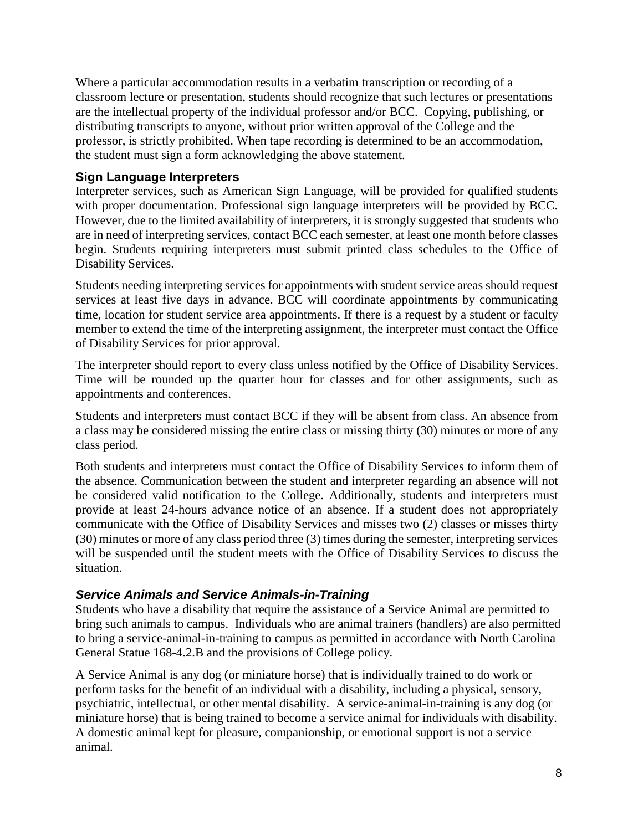Where a particular accommodation results in a verbatim transcription or recording of a classroom lecture or presentation, students should recognize that such lectures or presentations are the intellectual property of the individual professor and/or BCC. Copying, publishing, or distributing transcripts to anyone, without prior written approval of the College and the professor, is strictly prohibited. When tape recording is determined to be an accommodation, the student must sign a form acknowledging the above statement.

# **Sign Language Interpreters**

Interpreter services, such as American Sign Language, will be provided for qualified students with proper documentation. Professional sign language interpreters will be provided by BCC. However, due to the limited availability of interpreters, it is strongly suggested that students who are in need of interpreting services, contact BCC each semester, at least one month before classes begin. Students requiring interpreters must submit printed class schedules to the Office of Disability Services.

Students needing interpreting services for appointments with student service areas should request services at least five days in advance. BCC will coordinate appointments by communicating time, location for student service area appointments. If there is a request by a student or faculty member to extend the time of the interpreting assignment, the interpreter must contact the Office of Disability Services for prior approval.

The interpreter should report to every class unless notified by the Office of Disability Services. Time will be rounded up the quarter hour for classes and for other assignments, such as appointments and conferences.

Students and interpreters must contact BCC if they will be absent from class. An absence from a class may be considered missing the entire class or missing thirty (30) minutes or more of any class period.

Both students and interpreters must contact the Office of Disability Services to inform them of the absence. Communication between the student and interpreter regarding an absence will not be considered valid notification to the College. Additionally, students and interpreters must provide at least 24-hours advance notice of an absence. If a student does not appropriately communicate with the Office of Disability Services and misses two (2) classes or misses thirty (30) minutes or more of any class period three (3) times during the semester, interpreting services will be suspended until the student meets with the Office of Disability Services to discuss the situation.

# *Service Animals and Service Animals-in-Training*

Students who have a disability that require the assistance of a Service Animal are permitted to bring such animals to campus. Individuals who are animal trainers (handlers) are also permitted to bring a service-animal-in-training to campus as permitted in accordance with North Carolina General Statue 168-4.2.B and the provisions of College policy.

A Service Animal is any dog (or miniature horse) that is individually trained to do work or perform tasks for the benefit of an individual with a disability, including a physical, sensory, psychiatric, intellectual, or other mental disability. A service-animal-in-training is any dog (or miniature horse) that is being trained to become a service animal for individuals with disability. A domestic animal kept for pleasure, companionship, or emotional support is not a service animal.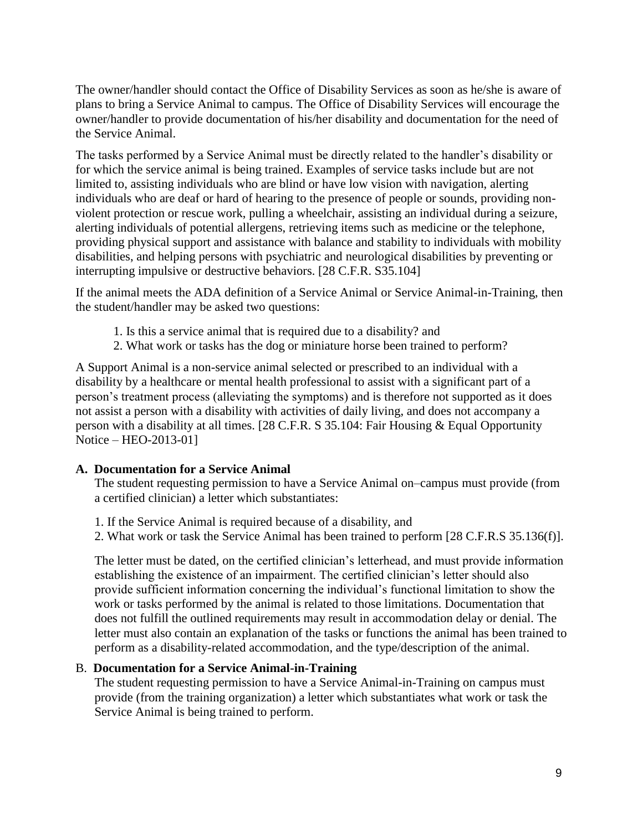The owner/handler should contact the Office of Disability Services as soon as he/she is aware of plans to bring a Service Animal to campus. The Office of Disability Services will encourage the owner/handler to provide documentation of his/her disability and documentation for the need of the Service Animal.

The tasks performed by a Service Animal must be directly related to the handler's disability or for which the service animal is being trained. Examples of service tasks include but are not limited to, assisting individuals who are blind or have low vision with navigation, alerting individuals who are deaf or hard of hearing to the presence of people or sounds, providing nonviolent protection or rescue work, pulling a wheelchair, assisting an individual during a seizure, alerting individuals of potential allergens, retrieving items such as medicine or the telephone, providing physical support and assistance with balance and stability to individuals with mobility disabilities, and helping persons with psychiatric and neurological disabilities by preventing or interrupting impulsive or destructive behaviors. [28 C.F.R. S35.104]

If the animal meets the ADA definition of a Service Animal or Service Animal-in-Training, then the student/handler may be asked two questions:

- 1. Is this a service animal that is required due to a disability? and
- 2. What work or tasks has the dog or miniature horse been trained to perform?

A Support Animal is a non-service animal selected or prescribed to an individual with a disability by a healthcare or mental health professional to assist with a significant part of a person's treatment process (alleviating the symptoms) and is therefore not supported as it does not assist a person with a disability with activities of daily living, and does not accompany a person with a disability at all times. [28 C.F.R. S 35.104: Fair Housing & Equal Opportunity Notice – HEO-2013-01]

### **A. Documentation for a Service Animal**

The student requesting permission to have a Service Animal on–campus must provide (from a certified clinician) a letter which substantiates:

- 1. If the Service Animal is required because of a disability, and
- 2. What work or task the Service Animal has been trained to perform [28 C.F.R.S 35.136(f)].

The letter must be dated, on the certified clinician's letterhead, and must provide information establishing the existence of an impairment. The certified clinician's letter should also provide sufficient information concerning the individual's functional limitation to show the work or tasks performed by the animal is related to those limitations. Documentation that does not fulfill the outlined requirements may result in accommodation delay or denial. The letter must also contain an explanation of the tasks or functions the animal has been trained to perform as a disability-related accommodation, and the type/description of the animal.

### B. **Documentation for a Service Animal-in-Training**

The student requesting permission to have a Service Animal-in-Training on campus must provide (from the training organization) a letter which substantiates what work or task the Service Animal is being trained to perform.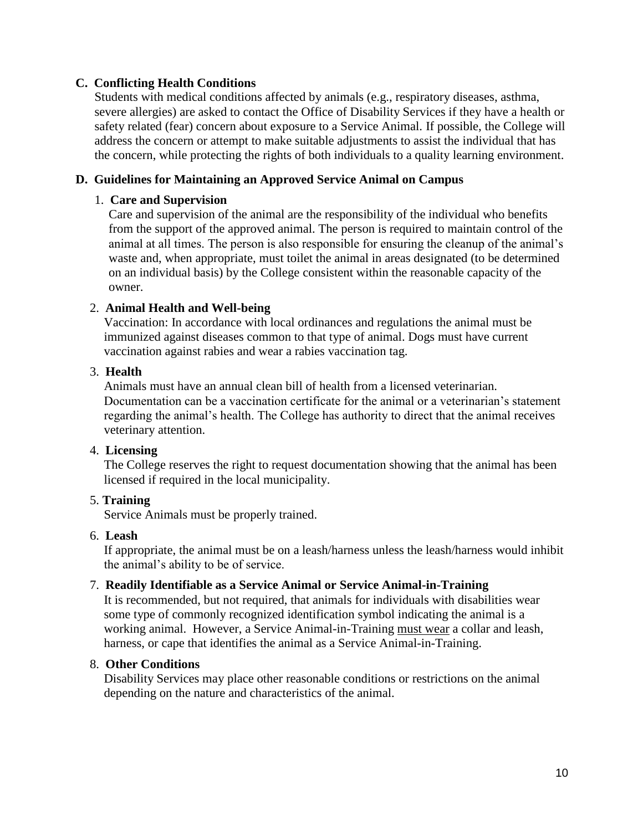## **C. Conflicting Health Conditions**

Students with medical conditions affected by animals (e.g., respiratory diseases, asthma, severe allergies) are asked to contact the Office of Disability Services if they have a health or safety related (fear) concern about exposure to a Service Animal. If possible, the College will address the concern or attempt to make suitable adjustments to assist the individual that has the concern, while protecting the rights of both individuals to a quality learning environment.

### **D. Guidelines for Maintaining an Approved Service Animal on Campus**

### 1. **Care and Supervision**

Care and supervision of the animal are the responsibility of the individual who benefits from the support of the approved animal. The person is required to maintain control of the animal at all times. The person is also responsible for ensuring the cleanup of the animal's waste and, when appropriate, must toilet the animal in areas designated (to be determined on an individual basis) by the College consistent within the reasonable capacity of the owner.

### 2. **Animal Health and Well-being**

Vaccination: In accordance with local ordinances and regulations the animal must be immunized against diseases common to that type of animal. Dogs must have current vaccination against rabies and wear a rabies vaccination tag.

### 3. **Health**

Animals must have an annual clean bill of health from a licensed veterinarian. Documentation can be a vaccination certificate for the animal or a veterinarian's statement regarding the animal's health. The College has authority to direct that the animal receives veterinary attention.

### 4. **Licensing**

The College reserves the right to request documentation showing that the animal has been licensed if required in the local municipality.

# 5. **Training**

Service Animals must be properly trained.

### 6. **Leash**

If appropriate, the animal must be on a leash/harness unless the leash/harness would inhibit the animal's ability to be of service.

### 7. **Readily Identifiable as a Service Animal or Service Animal-in-Training**

It is recommended, but not required, that animals for individuals with disabilities wear some type of commonly recognized identification symbol indicating the animal is a working animal. However, a Service Animal-in-Training must wear a collar and leash, harness, or cape that identifies the animal as a Service Animal-in-Training.

### 8. **Other Conditions**

Disability Services may place other reasonable conditions or restrictions on the animal depending on the nature and characteristics of the animal.